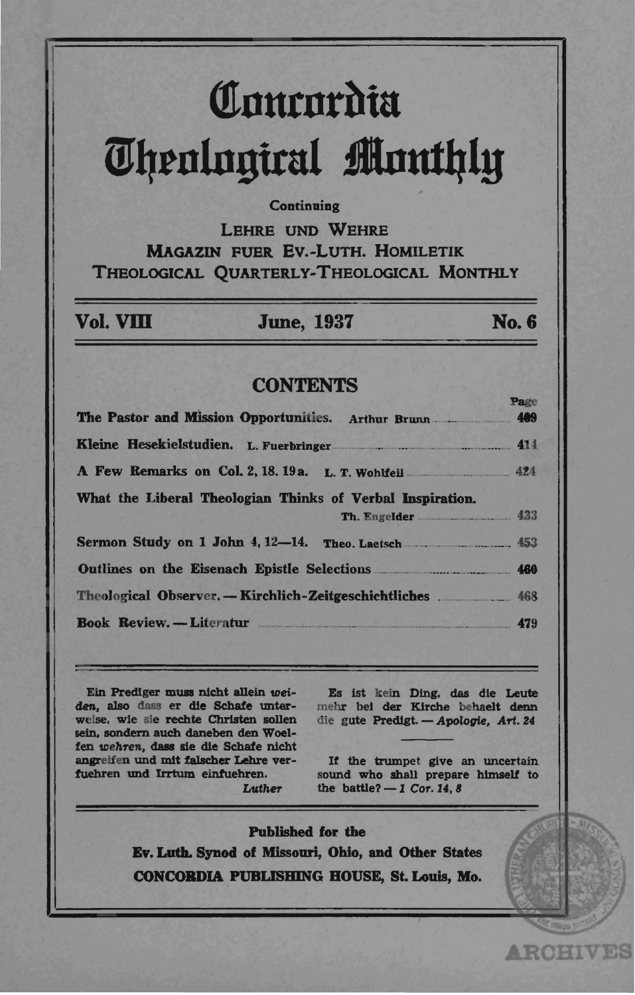# Concordia **Theological Monthly**

## Continuing

**LEHRE UND WEHRE MAGAZIN FUER EV.-LUTH. HOMILETIK** THEOLOGICAL QUARTERLY-THEOLOGICAL MONTHLY

## Vol. VIII

**June, 1937** 

## **No. 6**

## **CONTENTS**

| The Pastor and Mission Opportunities. Arthur Brunn 1999            | Page |
|--------------------------------------------------------------------|------|
|                                                                    |      |
| A Few Remarks on Col. 2, 18. 19 a. L. T. Wohlfeil 424              |      |
| What the Liberal Theologian Thinks of Verbal Inspiration.          |      |
| Th. Engelder 433                                                   |      |
| Sermon Study on 1 John 4, 12-14. Theo. Laetsch                     |      |
| Outlines on the Eisenach Epistle Selections <b>Example 200</b> 460 |      |
|                                                                    |      |
| Book Review. -- Literatur 479                                      |      |

Ein Prediger muss nicht allein weiden, also dass er die Schafe unterweise, wie sie rechte Christen sollen sein, sondern auch daneben den Woelfen wehren, dass sie die Schafe nicht angreifen und mit falscher Lehre verfuehren und Irrtum einfuehren.

Luther

Es ist kein Ding, das die Leute mehr bei der Kirche behaelt denn die gute Predigt. - Apologie, Art. 24

If the trumpet give an uncertain sound who shall prepare himself to the battle?  $-1$  Cor. 14, 8

**ARCHIVES** 

**Published for the** Ev. Luth. Synod of Missouri, Ohio, and Other States **CONCORDIA PUBLISHING HOUSE, St. Louis, Mo.**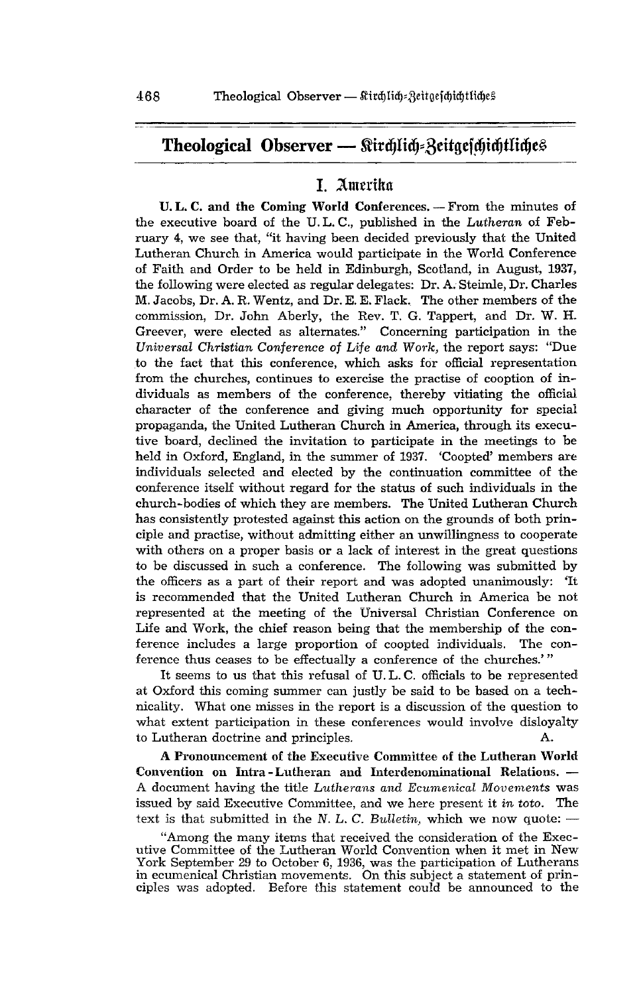# Theological Observer - Stirdjlidj=Zeitgefcjidjtliches

# I. Amerika

u. L. C. and the Coming World Conferences. - From the minutes of the executive board of the U. L. C., published in the *Lutheran* of February 4, we see that, "it having been decided previously that the United Lutheran Church in America would participate in the World Conference of Faith and Order to be held in Edinburgh, Scotland, in August, 1937, the following were elected as regular delegates: Dr. A. Steimle, Dr. Charles M. Jacobs, Dr. A. R. Wentz, and Dr. E. E. Flack. The other members of the commission, Dr. John Aberly, the Rev. T. G. Tappert, and Dr. W. H. Greever, were elected as alternates." Concerning participation in the *Universal Christian Conference* of Life *and Work,* the report says: "Due .to the fact that this conference, which asks for official representation from the churches, continues to exercise the practise of cooption of individuals as members of the conference, thereby vitiating the official character of the conference and giving much opportunity for special propaganda, the United Lutheran Church in America, through its executive board, declined the invitation to participate in the meetings to be held in Oxford, England, in the summer of 1937. 'Coopted' members are individuals selected and elected by the continuation committee of the conference itself without regard for the status of such individuals in the church-bodies of which they are members. The United Lutheran Church has consistently protested against this action on the grounds of both principle and practise, without admitting either an unwillingness to cooperate with others on a proper basis or a lack of interest in the great questions to be discussed in such a conference. The following was submitted by the officers as a part of their report and was adopted unanimously: 'It is recommended that the United Lutheran Church in America be not represented at the meeting of the Universal Christian Conference on Life and Work, the chief reason being that the membership of the conference includes a large proportion of coopted individuals. The conference thus ceases to be effectually a conference of the churches.'''

It seems to us that this refusal of U. L. C. officials to be represented at Oxford this coming summer can justly be said to be based on a technicality. What one misses in the report is a discussion of the question to what extent participation in these conferences would involve disloyalty to Lutheran doctrine and principles. A.

A Pronouncement of the Executive Committee of the Lutheran World Convention on Intra-Lutheran and Interdenominational Relations.  $-$ A document having the title *Lutherans and Ecumenical Movements* was issued by said Executive Committee, and we here present it *in toto.* The text is that submitted in the N. L. C. Bulletin, which we now quote:  $-$ 

"Among the many items that received the consideration of the Executive Committee of the Lutheran World Convention when it met in New York September 29 to October 6, 1936, was the participation of Lutherans in ecumenical Christian movements. On this subject a statement of principles was adopted. Before this statement could be announced to the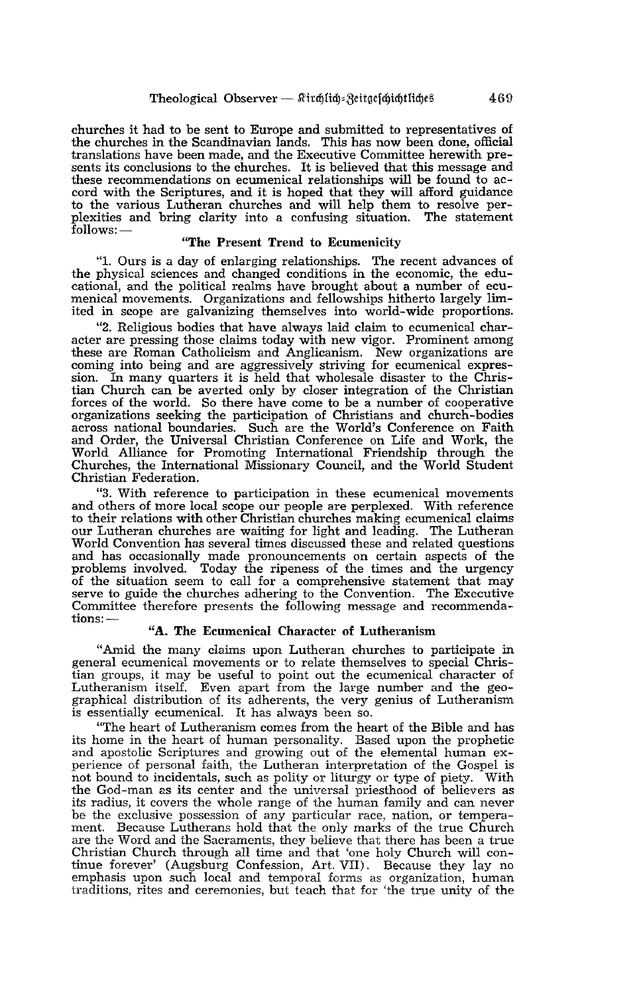churches it had to be sent to Europe and submitted to representatives of the churches in the Scandinavian lands. This has now been done, official translations have been made, and the Executive Committee herewith presents its conclusions to the churches. It is believed that this message and these recommendations on ecumenical relationships will be found to acthese recommendations on ecumenical relationships will be found to ac- cord with the Scriptures, and it is hoped that they will afford guidance to the various Lutheran churches and will help them to resolve perplexities and bring clarity into a confusing situation. The statement  $follows:$ 

#### "The Present Trend to Ecumenicity

"1. Ours is a day of enlarging relationships. The recent advances of the physical sciences and changed conditions in the economic, the educational, and the political realms have brought about a number of ecu- menical movements. Organizations and fellowships hitherto largely limited in scope are galvanizing themselves into world-wide proportions.

"2. Religious bodies that have always laid claim to ecumenical character are pressing those claims today with new vigor. Prominent among these are Roman Catholicism and Anglicanism. New organizations are coming into being and are aggressively striving for ecumenical expression. In many quarters it is held that wholesale disaster to the Christian Church can be averted only by closer integration of the Christian forces of the world. So there have come to be a number of cooperative across national boundaries. Such are the World's Conference on Faith and Order, the Universal Christian Conference on Life and Work, the World Alliance for Promoting International Friendship through the Churches, the International Missionary Council, and the World Student Christian Federation.

"3. With reference to participation in these ecumenical movements and others of more local scope our people are perplexed. With reference our Lutheran churches are waiting for light and leading. The Lutheran World Convention has several times discussed these and related questions and has occasionally made pronouncements on certain aspects of the problems involved. Today the ripeness of the times and the urgency of the situation seem to call for a comprehensive statement that may serve to guide the churches adhering to the Convention. The Executive Committee therefore presents the following message and recommendations:-

#### "A. The Ecumenical Character of Lutheranism

"Amid the many claims upon Lutheran churches to participate in general ecumenical movements or to relate themselves to special Christian groups, it may be useful to point out the ecumenical character of Lutheranism itself. Even apart from the large number and the geographical distribution of its adherents, the very genius of Lutheranism is essentially ecumenical. It has always been so.

"The heart of Lutheranism comes from the heart of the Bible and has its home in the heart of human personality. Based upon the prophetic and apostolic Scriptures and growing out of the elemental human ex- perience of personal faith, the Lutheran interpretation of the Gospel is not bound to incidentals, such as polity or liturgy or type of piety. With the God-man as its center and the universal priesthood of believers as the God-man as its center and the universal priesthood of believers as its radius, it covers the whole range of the human family and can never be the exclusive possession of any particular race, nation, or temperament. Because Lutherans hold that the only marks of the true Church are the Word and the Sacraments, they believe that there has been a true Christian Church through all time and that 'one holy Church will con- tinue forever' (Augsburg Confession, Art. VII). Because they lay no emphasis upon such local and temporal forms as organization, human traditions, rites and ceremonies, but teach that for 'the true unity of the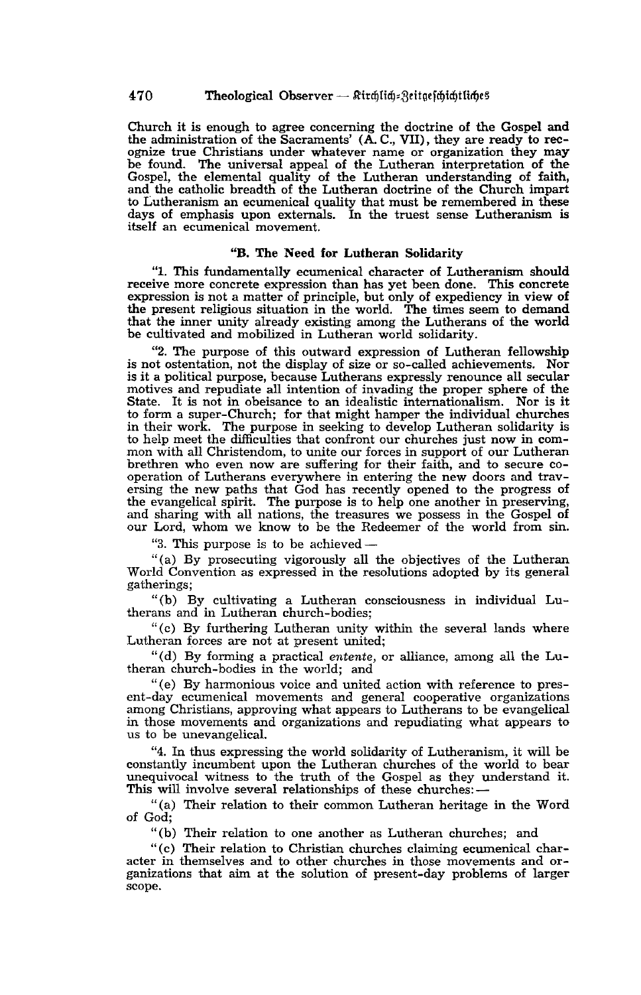Church it is enough to agree concerning the doctrine of the Gospel and the administration of the Sacraments' (A. C., VII), they are ready to rec- ognize true Christians under whatever name or organization they may be found. The universal appeal of the Lutheran interpretation of the Gospel, the elemental quality of the Lutheran understanding of faith, and the catholic breadth of the Lutheran doctrine of the Church impart to Lutheranism an ecumenical quality that must be remembered in these days of emphasis upon externals. In the truest sense Lutheranism is itself an ecumenical movement.

#### "B. The Need for Lutheran Solidarity

"1. This fundamentally ecumenical character of Lutheranism should receive more concrete expression than has yet been done. This concrete expression is not a matter of principle, but only of expediency in view of the present religious situation in the world. The times seem to demand that the inner unity already existing among the Lutherans of the world be cultivated and mobilized in Lutheran world solidarity.

"2. The purpose of this outward expression of Lutheran fellowship is not ostentation, not the display of size or so-called achievements. Nor is it a political purpose, because Lutherans expressly renounce all secular motives and repudiate all intention of invading the proper sphere of the State. It is not in obeisance to an idealistic internationalism. Nor is it to form a super-Church; for that might hamper the individual churches in their work. The purpose in seeking to develop Lutheran solidarity is mon with all Christendom, to unite our forces in support of our Lutheran<br>brethren who even now are suffering for their faith, and to secure cooperation of Lutherans everywhere in entering the new doors and traversing the new paths that God has recently opened to the progress of the evangelical spirit. The purpose is to help one another in preserving, and sharing with all nations, the treasures we possess in the Gospel of our Lord, whom we know to be the Redeemer of the world from sin.

"3. This purpose is to be achieved-

"(a) By prosecuting vigorously all the objectives of the Lutheran WorId Convention as expressed in the resolutions adopted by its general gatherings;

"(b) By cultivating a Lutheran consciousness in individual Lutherans and in Lutheran church-bodies;

"(c) By furthering Lutheran unity within the several lands where Lutheran forces are not at present united;

"(d) By forming a practical *entente,* or alliance, among all the Lutheran church-bodies in the world; and

"(e) By harmonious voice and united action with reference to present-day ecumenical movements and general cooperative organizations among Christians, approving what appears to Lutherans to be evangelical in those movements and organizations and repudiating what appears to us to be unevangelical.

"4. In thus expressing the world solidarity of Lutheranism, it will be constantly incumbent upon the Lutheran churches of the world to bear unequivocal witness to the truth of the Gospel as they understand it.<br>This will involve several relationships of these churches:—

"(a) Their relation to their common Lutheran heritage in the Word of God;

"(b) Their relation to one another as Lutheran churches; and

"(c) Their relation to Christian churches claiming ecumenical charganizations that aim at the solution of present-day problems of larger scope.

470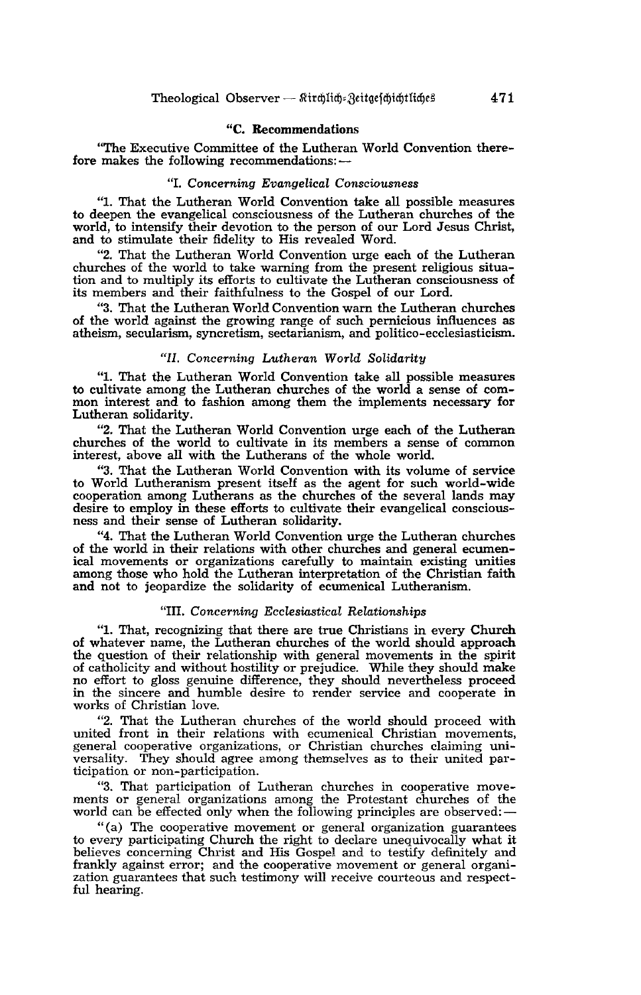#### "C. Recommendations

"The Executive Committee of the Lutheran World Convention therefore makes the following recommendations:-

#### *"I. Concerning Evangelical Consciousness*

"I. That the Lutheran World Convention take all possible measures to deepen the evangelical consciousness of the Lutheran churches of the world, to intensify their devotion to the person of our Lord Jesus Christ, and to stimulate their fidelity to His revealed Word.

"2. That the Lutheran World Convention urge each of the Lutheran churches of the world to take warning from the present religious situation and to multiply its efforts to cultivate the Lutheran consciousness of its members and their faithfulness to the Gospel of our Lord.

"3. That the Lutheran World Convention warn the Lutheran churches atheism, secularism, syncretism, sectarianism, and politico-ecclesiasticism.

#### *"II. Concerning Lutheran World Solidarity*

"1. That the Lutheran World Convention take all possible measures to cultivate among the Lutheran churches of the world a sense of com- mon interest and to fashion among them the implements necessary for Lutheran solidarity.

"2. That the Lutheran World Convention urge each of the Lutheran churches of the world to cultivate in its members a sense of common interest, above all with the Lutherans of the whole world.

"3. That the Lutheran World Convention with its volume of service to World Lutheranism present itself as the agent for such world-wide cooperation among Lutherans as the churches of the several lands may desire to employ in these efforts to cultivate their evangelical conscious- ness and their sense of Lutheran solidarity.

"4. That the Lutheran World Convention urge the Lutheran churches of the world in their relations with other churches and general ecumen- ical movements or organizations carefully to maintain existing unities among those who hold the Lutheran interpretation of the Christian faith and not to jeopardize the solidarity of ecumenical Lutheranism.

#### *"III. Concerning Ecclesiastical Relationships*

"1. That, recognizing that there are true Christians in every Church of whatever name, the Lutheran churches of the world should approach the question of their relationship with general movements in the spirit of catholicity and without hostility or prejudice. While they should make of catholicity and without hostility or prejudice. While they should make no effort to gloss genuine difference, they should nevertheless proceed in the sincere and humble desire to render service and cooperate in works of Christian love.

"2. That the Lutheran churches of the world should proceed with united front in their relations with ecumenical Christian movements, general cooperative organizations, or Christian churches claiming universality. They should agree among themselves as to their united participation or non-participation.

"3. That participation of Lutheran churches in cooperative move- ments or general organizations among the Protestant churches of the world can be effected only when the following principles are observed:-

"(a) The cooperative movement or general organization guarantees to every participating Church the right to declare unequivocally what it believes concerning Christ and His Gospel and to testify definitely and frankly against error; and the cooperative movement or general organization guarantees that such testimony will receive courteous and respectful hearing.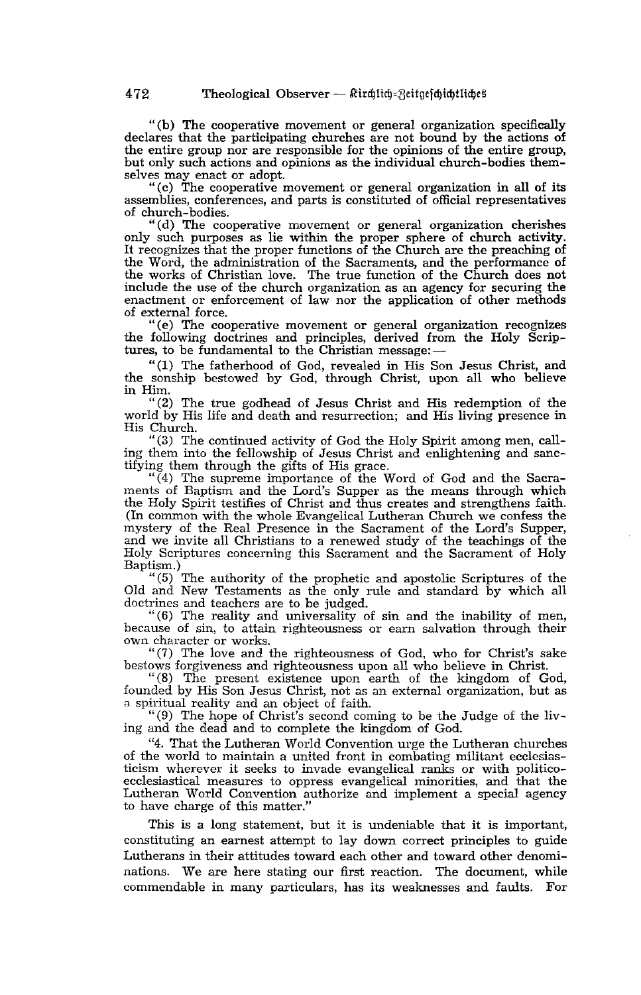"(b) The cooperative movement or general organization specifically declares that the participating churches are not bound by the actions of the entire group nor are responsible for the opinions of the entire group, but only such actions and opinions as the individual church-bodies themselves may enact or adopt.

"(c) The cooperative movement or general organization in all of its assemblies, conferences, and parts is constituted of official representatives of church-bodies.

"(d) The cooperative movement or general organization cherishes only such purposes as lie within the proper sphere of church activity. It recognizes that the proper functions of the Church are the preaching of the Word, the administration of the Sacraments, and the performance of the works of Christian love. The true function of the Church does not include the use of the church organization as an agency for securing the enactment or enforcement of law nor the application of other methods of external force.

"(e) The cooperative movement or general organization recognizes the following doctrines and principles, derived from the Holy Scriptures, to be fundamental to the Christian message: $-$ 

"(1) The fatherhood of God, revealed in His Son Jesus Christ, and the sonship bestowed by God, through Christ, upon all who believe in Him.

"(2) The true godhead of Jesus Christ and His redemption of the world by His life and death and resurrection; and His living presence in His Church.

"(3) The continued activity of God the Holy Spirit among men, calling them into the fellowship of Jesus Christ and enlightening and sanc- tifying them through the gifts of His grace.

"(4) The supreme importance of the Word of God and the Sacraments of Baptism and the Lord's Supper as the means through which the Holy Spirit testifies of Christ and thus creates and strengthens faith. (In common with the whole Evangelical Lutheran Church we confess the mystery of the Real Presence in the Sacrament of the Lord's Supper, and we invite all Christians to a renewed study of the teachings of the Holy Scriptures concerning this Sacrament and the Sacrament of Holy Baptism.)

"(5) The authority of the prophetic and apostolic Scriptures of the Old and New Testaments as the only rule and standard by which all doctrines and teachers are to be judged.

"( 6) The reality and universality of sin and the inability of men, because of sin, to attain righteousness or earn salvation through their own character or works.

"(7) The love and the righteousness of God, who for Christ's sake bestows forgiveness and righteousness upon all who believe in Christ.

"(8) The present existence upon earth of the kingdom of God, founded by His Son Jesus Christ, not as an external organization, but as a spiritual reality and an object of faith.

"(9) The hope of Christ's second coming to be the Judge of the living and the dead and to complete the kingdom of God.

"4. That the Lutheran World Convention urge the Lutheran churches of the world to maintain a united front in combating militant ecclesiasticism wherever it seeks to invade evangelical ranks or with politicoecclesiastical measures to oppress evangelical minorities, and that the Lutheran World Convention authorize and implement a special agency to have charge of this matter."

This is a long statement, but it is undeniable that it is important, constituting an earnest attempt to lay down correct principles to guide Lutherans in their attitudes toward each other and toward other denominations. We are here stating our first reaction. The document, while commendable in many particulars, has its weaknesses and faults. For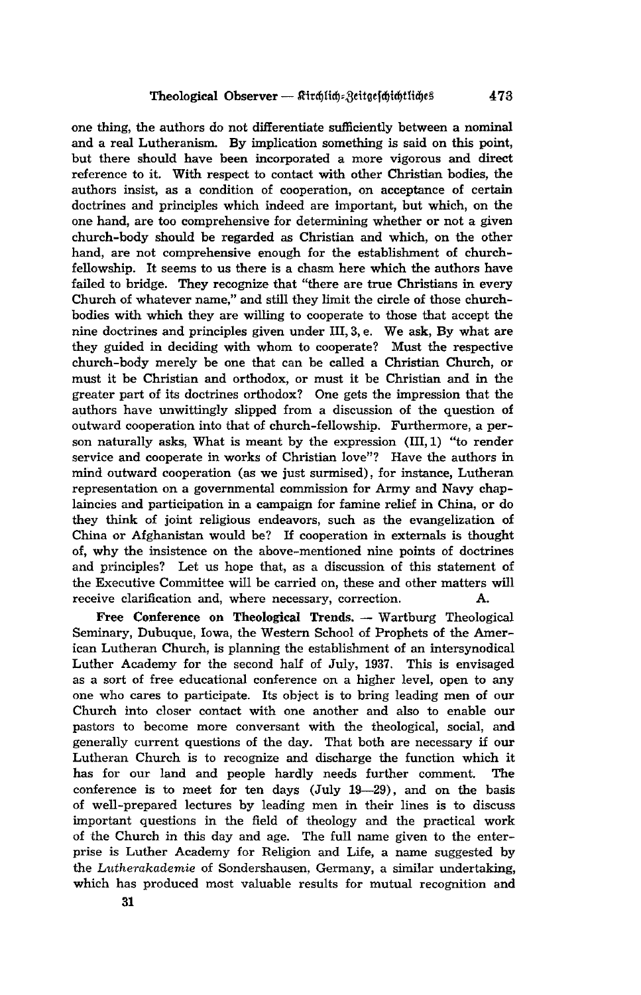one thing, the authors do not differentiate sufficiently between a nominal and a real Lutheranism. By implication something is said on this point, but there should have been incorporated a more vigorous and direct reference to it. With respect to contact with other Christian bodies, the authors insist, as a condition of cooperation, on acceptance of certain doctrines and principles which indeed are important, but which, on the one hand, are too comprehensive for determining whether or not a given church-body should be regarded as Christian and which, on the other hand, are not comprehensive enough for the establishment of churchfellowship. It seems to us there is a chasm here which the authors have failed to bridge. They recognize that "there are true Christians in every Church of whatever name," and still they limit the circle of those churchbodies with which they are willing to cooperate to those that accept the nine doctrines and principles given under III, 3, e. We ask, By what are they guided in deciding with whom to cooperate? Must the respective church-body merely be one that can be called a Christian Church, or must it be Christian and orthodox, or must it be Christian and in the greater part of its doctrines orthodox? One gets the impression that the authors have unwittingly slipped from a discussion of the question of outward cooperation into that of church-fellowship. Furthermore, a person naturally asks, What is meant by the expression (111,1) "to render service and cooperate in works of Christian love"? Have the authors in mind outward cooperation (as we just surmised), for instance, Lutheran representation on a governmental commission for Army and Navy chaplaincies and participation in a campaign for famine relief in China, or do they think of joint religious endeavors, such as the evangelization of China or Afghanistan would be? If cooperation in externals is thought of, why the insistence on the above-mentioned nine points of doctrines and principles? Let us hope that, as a discussion of this statement of the Executive Committee will be carried on, these and other matters will receive clarification and, where necessary, correction. A.

Free Conference on Theological Trends. - Wartburg Theological Seminary, Dubuque, Iowa, the Western School of Prophets of the American Lutheran Church, is planning the establishment of an intersynodical Luther Academy for the second half of July, 1937. This is envisaged as a sort of free educational conference on a higher level, open to any one who cares to participate. Its object is to bring leading men of our Church into closer contact with one another and also to enable our pastors to become more conversant with the theological, social, and generally current questions of the day. That both are necessary if our Lutheran Church is to recognize and discharge the function which it has for our land and people hardly needs further comment. The conference is to meet for ten days (July 19-29), and on the basis of well-prepared lectures by leading men in their lines is to discuss important questions in the field of theology and the practical work of the Church in this day and age. The full name given to the enterprise is Luther Academy for Religion and Life, a name suggested by the *Lutherakademie* of Sondershausen, Germany, a similar undertaking, which has produced most valuable results for mutual recognition and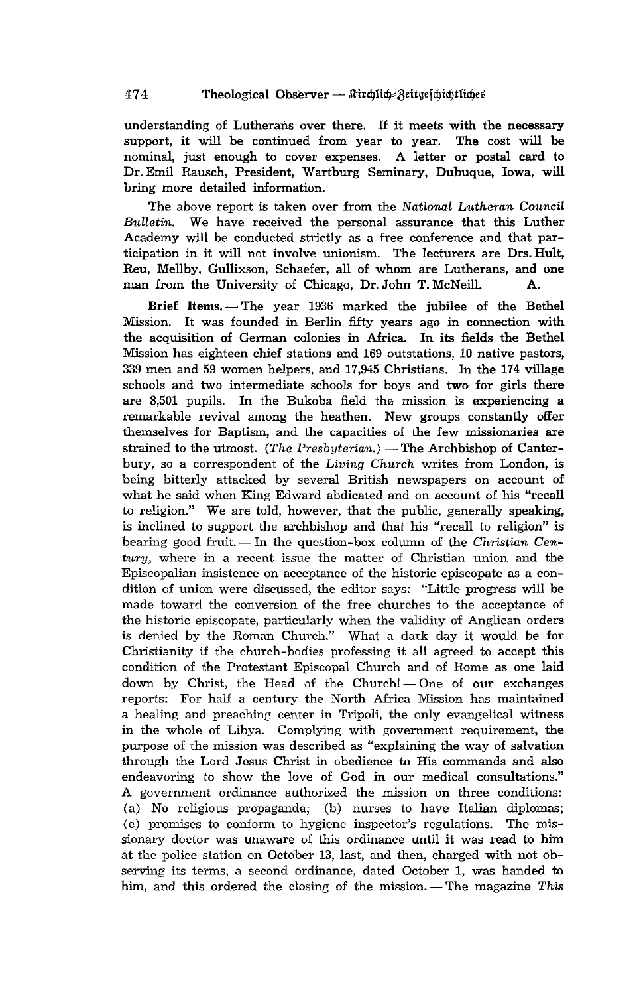understanding of Lutherans over there. If it meets with the necessary support, it will be continued from year to year. The cost will be nominal, just enough to cover expenses. A letter or postal card to Dr. Emil Rausch, President, Wartburg Seminary, Dubuque, Iowa, will bring more detailed information.

The above report is taken over from the *National Lutheran Council Bulletin.* We have received the personal assurance that this Luther Academy will be conducted strictly as a free conference and that participation in it will not involve unionism. The lecturers are Drs. Hult, Reu, Mellby, Gullixson, Schaefer, all of whom are Lutherans, and one man from the University of Chicago, Dr. John T. McNeill. A.

Brief Items. - The year 1936 marked the jubilee of the Bethel Mission. It was founded in Berlin fifty years ago in connection with the acquisition of German colonies in Africa. In its fields the Bethel Mission has eighteen chief stations and 169 outstations, 10 native pastors, 339 men and 59 women helpers, and 17,945 Christians. In the 174 village schools and two intermediate schools for boys and two for girls there are 8,501 pupils. In the Bukoba field the mission is experiencing a remarkable revival among the heathen. New groups constantly offer themselves for Baptism, and the capacities of the few missionaries are strained to the utmost. *(The Presbyterian.)* — The Archbishop of Canterbury, so a correspondent of the *Living Church* writes from London, is being bitterly attacked by several British newspapers on account of what he said when King Edward abdicated and on account of his "recall to religion." We are told, however, that the public, generally speaking, is inclined to support the archbishop and that his "recall to religion" is bearing good fruit. In the question-box column of the *Christian Century,* where in a recent issue the matter of Christian union and the Episcopalian insistence on acceptance of the historic episcopate as a condition of union were discussed, the editor says: "Little progress will be made toward the conversion of the free churches to the acceptance of the historic episcopate, particularly when the validity of Anglican orders is denied by the Roman Church." What a dark day it would be for Christianity if the church-bodies professing it all agreed to accept this condition of the Protestant Episcopal Church and of Rome as one laid down by Christ, the Head of the Church!  $-$  One of our exchanges reports: For half a century the North Africa Mission has maintained a healing and preaching center in Tripoli, the only evangelical witness in the whole of Libya. Complying with government requirement, the purpose of the mission was described as "explaining the way of salvation through the Lord Jesus Christ in obedience to His commands and also endeavoring to show the love of God in our medical consultations." A government ordinance authorized the mission on three conditions: (a) No religious propaganda; (b) nurses to have Italian diplomas; (c) promises to conform to hygiene inspector's regulations. The missionary doctor was unaware of this ordinance until it was read to him at the police station on October 13, last, and then, charged with not observing its terms, a second ordinance, dated October 1, was handed to him, and this ordered the closing of the mission. -- The magazine This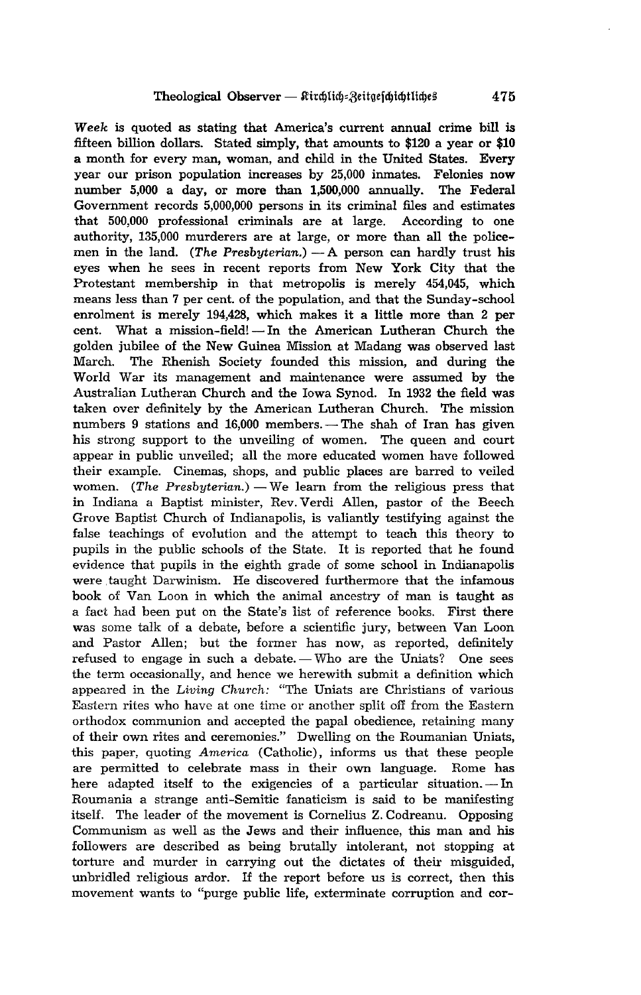*Week* is quoted as stating that America's current annual crime bill is fifteen billion dollars. Stated simply, that amounts to \$120 a year or \$10 a month for every man, woman, and child in the United States. Every year our prison population increases by 25,000 inmates. Felonies now number 5,000 a day, or more than 1,500,000 annually. The Federal Government records 5,000,000 persons in its criminal files and estimates that 500,000 professional criminals are at large. According to one authority, 135,000 murderers are at large, or more than all the policemen in the land. *(The Presbyterian.)* - A person can hardly trust his eyes when he sees in recent reports from New York City that the Protestant membership in that metropolis is merely 454,045, which means less than 7 per cent. of the population, and that the Sunday-school enrolment is merely 194,428, which makes it a little more than 2 per cent. What a mission-field! - In the American Lutheran Church the golden jubilee of the New Guinea Mission at Madang was observed last March. The Rhenish Society founded this mission, and during the World War its management and maintenance were assumed by the Australian Lutheran Church and the Iowa Synod. In 1932 the field was taken over definitely by the American Lutheran Church. The mission numbers 9 stations and  $16,000$  members. - The shah of Iran has given his strong support to the unveiling of women. The queen and court appear in public unveiled; all the more educated women have followed their example. Cinemas, shops, and public places are barred to veiled women. *(The Presbyterian.)* — We learn from the religious press that in Indiana a Baptist minister, Rev. Verdi Allen, pastor of the Beech Grove Baptist Church of Indianapolis, is valiantly testifying against the false teachings of evolution and the attempt to teach this theory to pupils in the public schools of the State. It is reported that he found evidence that pupils in the eighth grade of some school in Indianapolis were taught Darwinism. He discovered furthermore that the infamous book of Van Loon in which the animal ancestry of man is taught as a fact had been put on the State's list of reference books. First there was some talk of a debate, before a scientific jury, between Van Loon and Pastor Allen; but the former has now, as reported, definitely refused to engage in such a debate. - Who are the Uniats? One sees the term occasionally, and hence we herewith submit a definition which appeared in the *Living Church:* "The Uniats are Christians of various Eastern rites who have at one time or another split off from the Eastern orthodox communion and accepted the papal obedience, retaining many of their own rites and ceremonies," Dwelling on the Roumanian Uniats, this paper, quoting *America* (Catholic), informs us that these people are permitted to celebrate mass in their own language. Rome has here adapted itself to the exigencies of a particular situation. - In Roumania a strange anti-Semitic fanaticism is said to be manifesting itself. The leader of the movement is Cornelius Z. Codreanu. Opposing Communism as well as the Jews and their influence, this man and his followers are described as being brutally intolerant, not stopping at torture and murder in carrying out the dictates of their misguided, unbridled religious ardor. If the report before us is correct, then this movement wants to ''purge public life, exterminate corruption and cor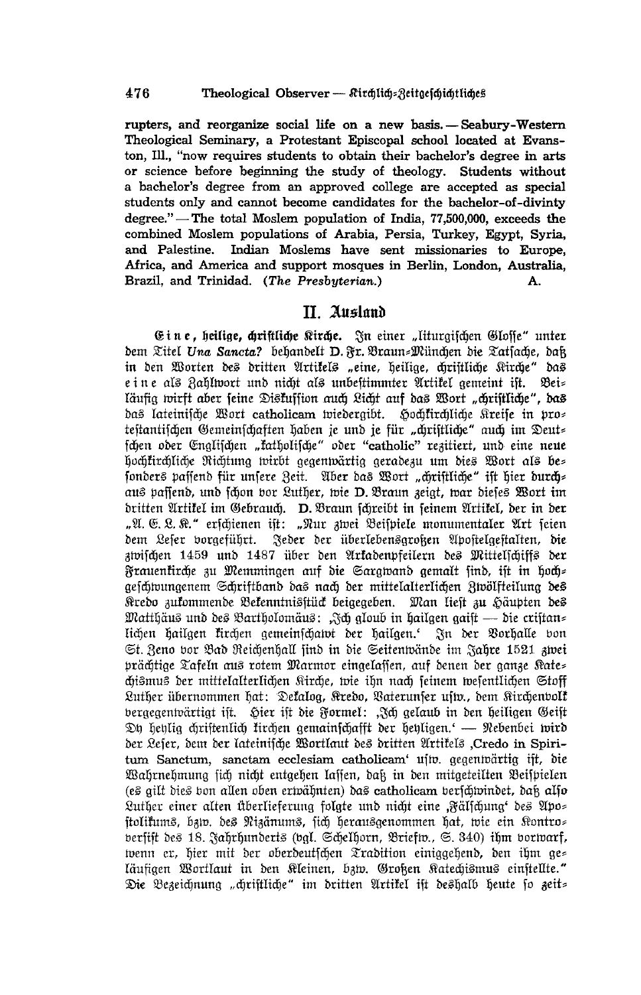rupters, and reorganize social life on a new basis. - Seabury-Western Theological Seminary, a Protestant Episcopal school located at Evanston, Ill., "now requires students to obtain their bachelor's degree in arts or science before beginning the study of theology. Students without a bachelor's degree from an approved college are accepted as special students only and cannot become candidates for the bachelor-of-divinty degree." - The total Moslem population of India, 77,500,000, exceeds the combined Moslem populations of Arabia, Persia, Turkey, Egypt, Syria, Indian Moslems have sent missionaries to Europe, and Palestine. Africa, and America and support mosques in Berlin, London, Australia, Brazil, and Trinidad. (The Presbyterian.) А.

## II. Ausland

Eine, heilige, chriftliche Kirche. In einer "liturgischen Glosse" unter bem Titel Una Sancta? behandelt D. Fr. Braun=München die Tatsache, daß in den Worten des dritten Artikels "eine, heilige, chriftliche Kirche" das e in e als Zahlwort und nicht als unbestimmter Artitel gemeint ist. Bei= läufig wirft aber seine Diskuffion auch Licht auf das Wort "christliche", das das lateinische Wort catholicam wiedergibt. Hochkirchliche Kreife in pros testantischen Gemeinschaften haben je und je für "christliche" auch im Deut= fchen oder Englischen "katholische" oder "catholic" rezitiert, und eine neue hochkirchliche Richtung wirbt gegenwärtig geradezu um dies Wort als bes fonders passend für unsere Zeit. Aber das Wort "chriftliche" ist hier durch= aus paffend, und fchon bor Luther, wie D. Braun zeigt, war diefes Wort im dritten Artikel im Gebrauch. D. Braun schreibt in seinem Artikel, der in der "A. E. L. K." erschienen ist: "Nur zwei Beispiele monumentaler Art seien Jeder der überlebensgroßen Apostelgestalten, die dem Lefer vorgeführt. zwischen 1459 und 1487 über den Arkadenpfeilern des Mittelschiffs der Frauenkirche zu Memmingen auf die Sargwand gemalt find, ist in hoch= geschwungenem Schriftband das nach der mittelalterlichen Zwölfteilung des Kredo zukommende Bekenntnisftück beigegeben. Man lieft zu Häupten des Matthäus und des Bartholomäus: "Ich gloub in hailgen gaist — die cristan= lichen hailgen kirchen gemeinschatot der hailgen. In der Vorhalle von St. Zeno vor Bad Reichenhall find in die Seitenwände im Jahre 1521 zwei prächtige Tafeln aus rotem Marmor eingelassen, auf denen der ganze Kates chismus der mittelalterlichen Kirche, wie ihn nach seinem wesentlichen Stoff Luther übernommen hat: Dekalog, Kredo, Baterunfer ufw., dem Kirchenbolk bergegentvärtigt ift. Hier ift die Formel: "Ich gelaub in den heiligen Geist Dh hehlig chriftenlich firchen gemainschafft der hehligen.' — Nebenbei wird der Lefer, dem der lateinifche Wortlaut des dritten Artifels "Credo in Spiritum Sanctum, sanctam ecclesiam catholicam' ujtv. gegenwärtig ift, bie Wahrnehmung sich nicht entgehen lassen, daß in den mitgeteilten Beispielen (es gilt bies bon allen oben erwähnten) das catholicam berfchwindet, daß also Luther einer alten überlieferung folgte und nicht eine "Fälschung' des Apo= stolikums, bzw. des Nizänums, sich herausgenommen hat, wie ein Kontro= berfift des 18. Jahrhunderts (bgl. Schelhorn, Briefw., S. 340) ihm borwarf, wenn er, hier mit der oberdeutfchen Tradition einiggehend, den ihm ge= läufigen Wortlaut in den Kleinen, bzw. Großen Katechismus einstellte." Die Bezeichnung "chriftliche" im dritten Artikel ist deshalb heute so zeit=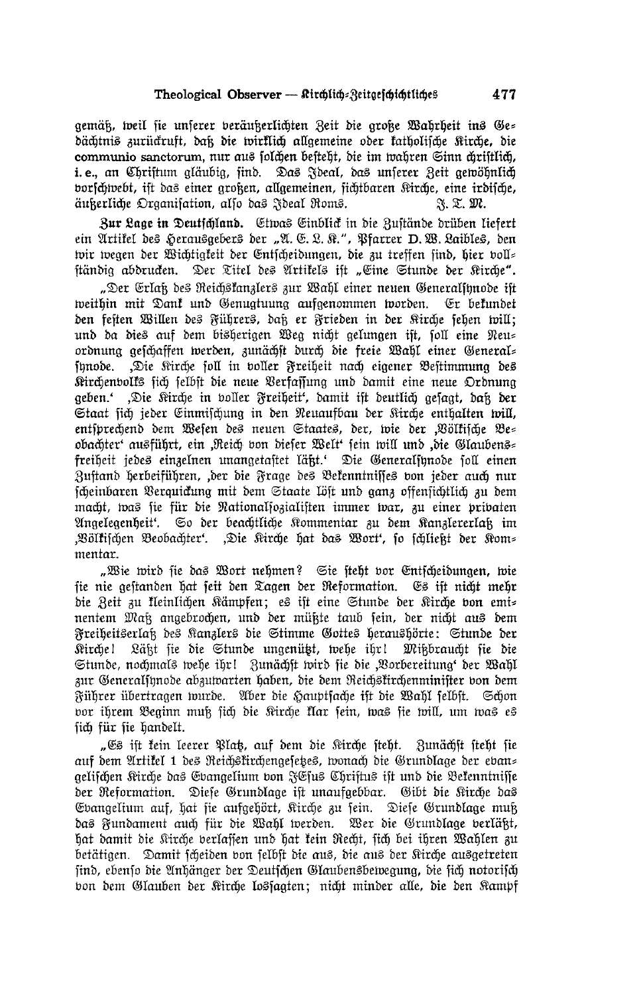gemäß, weil sie unserer veräußerlichten Zeit die große Wahrheit ins Ge= dächtnis zurückruft, daß die wirklich allgemeine oder katholische Kirche, die communio sanctorum, nur aus solchen besteht, die im wahren Sinn chriftlich, i.e., an Christum aläubia, sind. Das Ideal, das unserer Reit gewöhnlich vorschwebt, ist das einer großen, allgemeinen, sichtbaren Kirche, eine irdische, äußerliche Organisation, also das Ideal Roms. F. T. M.

Bur Lage in Deutschland. Etwas Einblick in die Zustände drüben liefert ein Artikel des Herausgebers der "A. E. L. R.", Pfarrer D. W. Laibles, den wir wegen der Wichtigkeit der Entscheidungen, die zu treffen sind, hier voll= ständig abdrucken. Der Titel des Artikels ist "Eine Stunde der Kirche".

"Der Erlak des Reichskanzlers zur Wahl einer neuen Generalsunode ift weithin mit Dank und Genugtuung aufgenommen worden. Er bekundet den festen Willen des Führers, daß er Frieden in der Kirche sehen will; und da dies auf dem bisherigen Weg nicht gelungen ist, soll eine Neu= ordnung geschaffen werden, zunächst durch die freie Wahl einer General= innode. "Die Kirche soll in voller Freiheit nach eigener Bestimmung des Kirchenvolks sich felbst die neue Verfassung und damit eine neue Ordnung geben.' "Die Kirche in voller Freiheit", damit ift deutlich gesagt, daß der Staat sich jeder Einmischung in den Neuaufbau der Kirche enthalten will, entsprechend dem Wesen des neuen Staates, der, wie der "Völkische Be= obachter' ausführt, ein "Reich von dieser Welt' sein will und "die Glaubens= freiheit jedes einzelnen unangetastet läßt.' Die Generalsunode soll einen Zustand herbeiführen, ,der die Frage des Bekenntnisses von jeder auch nur scheinbaren Verquickung mit dem Staate löst und ganz offensichtlich zu dem macht, was sie für die Nationalsozialisten immer war, zu einer privaten Angelegenheit'. So der beachtliche Kommentar zu dem Kanzlererlaß im "Völkischen Beobachter". "Die Kirche hat das Wort", so schließt der Kom= mentar.

"Wie wird sie das Wort nehmen? Sie steht vor Entscheidungen, wie fie nie gestanden hat feit den Tagen der Reformation. Es ist nicht mehr die Zeit zu kleinlichen Kämpfen; es ist eine Stunde der Kirche von emi= nentem Maß angebrochen, und der müßte taub sein, der nicht aus dem Freiheitserlak des Kanzlers die Stimme Gottes heraushörte: Stunde der Kirchel Läkt fie die Stunde ungenützt, wehe ihr! Mikbraucht fie die Stunde, nochmals wehe ihr! Zunächft wird fie die "Vorbereitung" der Wahl zur Generalsynode abzuwarten haben, die dem Reichskirchenminister von dem Führer übertragen wurde. Aber die Hauptsache ist die Wahl selbst. Schon vor ihrem Beginn muß sich die Kirche klar sein, was sie will, um was es fich für fie handelt.

"Es ift fein leerer Plat, auf dem die Kirche steht. Zunächst steht sie auf dem Artikel 1 des Reichstirchengesetes, wonach die Grundlage der eban= gelifchen Kirche das Evangelium von JEfus Chriftus ift und die Bekenntniffe der Reformation. Diese Grundlage ist unaufgebbar. Gibt die Kirche das Evangelium auf, hat fie aufgehört, Kirche zu sein. Diese Grundlage muß das Fundament auch für die Wahl werden. Wer die Grundlage verläßt, hat damit die Kirche berlassen und hat kein Recht, sich bei ihren Wahlen zu betätigen. Damit scheiden von selbst die aus, die aus der Kirche ausgetreten find, ebenfo die Anhänger der Deutschen Glaubensbewegung, die sich notorisch von dem Glauben der Kirche lossagten; nicht minder alle, die den Kampf